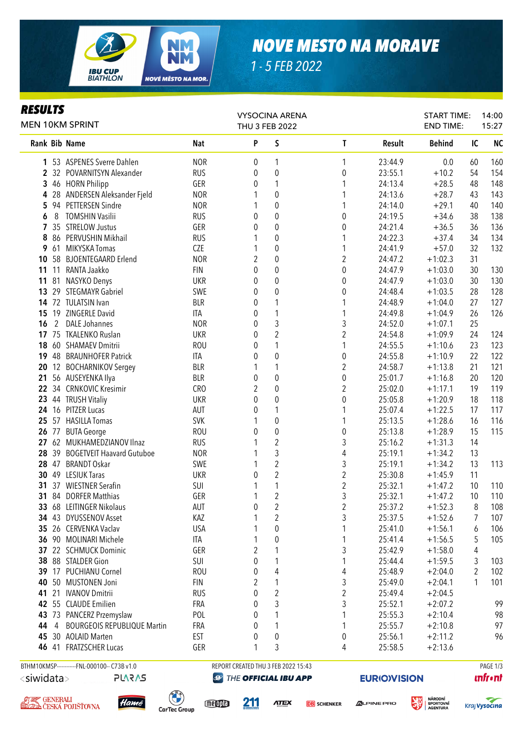

### *NOVE MESTO NA MORAVE*

*1 - 5 FEB 2022*

### *RESULTS*

| KEƏVLIƏ<br><b>MEN 10KM SPRINT</b>       |                | <b>VYSOCINA ARENA</b><br>THU 3 FEB 2022                             |                                     |                |                         |                    | <b>START TIME:</b><br><b>END TIME:</b> |                                         | 14:00<br>15:27 |                 |
|-----------------------------------------|----------------|---------------------------------------------------------------------|-------------------------------------|----------------|-------------------------|--------------------|----------------------------------------|-----------------------------------------|----------------|-----------------|
|                                         |                | Rank Bib Name                                                       | Nat                                 | P              | S                       | T                  | Result                                 | <b>Behind</b>                           | IC             | <b>NC</b>       |
| 1                                       |                | 53 ASPENES Sverre Dahlen                                            | <b>NOR</b>                          | 0              | 1                       | 1                  | 23:44.9                                | 0.0                                     | 60             | 160             |
| $\overline{2}$                          |                | 32 POVARNITSYN Alexander                                            | <b>RUS</b>                          | 0              | $\boldsymbol{0}$        | 0                  | 23:55.1                                | $+10.2$                                 | 54             | 154             |
| 3                                       |                | 46 HORN Philipp                                                     | GER                                 | 0              | 1                       | 1                  | 24:13.4                                | $+28.5$                                 | 48             | 148             |
| 4                                       |                | 28 ANDERSEN Aleksander Fjeld                                        | <b>NOR</b>                          | 1              | $\boldsymbol{0}$        | 1                  | 24:13.6                                | $+28.7$                                 | 43             | 143             |
| 5                                       |                | 94 PETTERSEN Sindre                                                 | <b>NOR</b>                          | 1              | $\mathbf 0$             | 1                  | 24:14.0                                | $+29.1$                                 | 40             | 140             |
| 6                                       | 8              | <b>TOMSHIN Vasilii</b>                                              | <b>RUS</b>                          | 0              | $\mathbf 0$             | 0                  | 24:19.5                                | $+34.6$                                 | 38             | 138             |
| 7                                       |                | 35 STRELOW Justus                                                   | GER                                 | 0              | $\mathbf 0$             | $\boldsymbol{0}$   | 24:21.4                                | $+36.5$                                 | 36             | 136             |
| 8                                       |                | 86 PERVUSHIN Mikhail                                                | <b>RUS</b>                          | 1              | $\mathbf 0$             | 1                  | 24:22.3                                | $+37.4$                                 | 34             | 134             |
| 9                                       | 61             | MIKYSKA Tomas                                                       | CZE                                 | 1              | $\boldsymbol{0}$        | 1                  | 24:41.9                                | $+57.0$                                 | 32             | 132             |
| 10                                      |                | 58 BJOENTEGAARD Erlend                                              | <b>NOR</b>                          | 2              | $\boldsymbol{0}$        | $\overline{2}$     | 24:47.2                                | $+1:02.3$                               | 31             |                 |
| 11                                      |                | 11 RANTA Jaakko                                                     | <b>FIN</b>                          | 0              | $\boldsymbol{0}$        | 0                  | 24:47.9                                | $+1:03.0$                               | 30             | 130             |
| 11                                      |                | 81 NASYKO Denys                                                     | <b>UKR</b>                          | 0              | $\boldsymbol{0}$        | 0                  | 24:47.9                                | $+1:03.0$                               | 30             | 130             |
| 13                                      |                | 29 STEGMAYR Gabriel                                                 | SWE                                 | 0              | 0                       | $\boldsymbol{0}$   | 24:48.4                                | $+1:03.5$                               | 28             | 128             |
| 14                                      |                | 72 TULATSIN Ivan                                                    | <b>BLR</b>                          | 0              | 1                       | 1                  | 24:48.9                                | $+1:04.0$                               | 27             | 127             |
| 15                                      |                | 19 ZINGERLE David                                                   | ITA                                 | 0              | 1                       | 1                  | 24:49.8                                | $+1:04.9$                               | 26             | 126             |
| 16                                      | $\overline{2}$ | <b>DALE Johannes</b>                                                | <b>NOR</b>                          | 0              | 3                       | 3                  | 24:52.0                                | $+1:07.1$                               | 25             |                 |
| 17                                      |                | 75 TKALENKO Ruslan                                                  | <b>UKR</b>                          | 0              | $\overline{2}$          | $\overline{2}$     | 24:54.8                                | $+1:09.9$                               | 24             | 124             |
| 18                                      |                | 60 SHAMAEV Dmitrii                                                  | <b>ROU</b>                          | 0              | $\mathbf{1}$            | 1                  | 24:55.5                                | $+1:10.6$                               | 23             | 123             |
| 19                                      |                | 48 BRAUNHOFER Patrick                                               | <b>ITA</b>                          | 0              | $\boldsymbol{0}$        | 0                  | 24:55.8                                | $+1:10.9$                               | 22             | 122             |
| 20                                      |                | 12 BOCHARNIKOV Sergey                                               | <b>BLR</b>                          | 1              | 1                       | $\overline{c}$     | 24:58.7                                | $+1:13.8$                               | 21             | 121             |
| 21                                      |                | 56 AUSEYENKA Ilya                                                   | <b>BLR</b>                          | 0              | $\boldsymbol{0}$        | $\boldsymbol{0}$   | 25:01.7                                | $+1:16.8$                               | 20             | 120             |
|                                         |                | 22 34 CRNKOVIC Kresimir                                             | CRO                                 | $\overline{2}$ | $\boldsymbol{0}$        | $\overline{2}$     | 25:02.0                                | $+1:17.1$                               | 19             | 119             |
| 23                                      |                | 44 TRUSH Vitaliy                                                    | <b>UKR</b>                          | 0              | $\boldsymbol{0}$        | 0                  | 25:05.8                                | $+1:20.9$                               | 18             | 118             |
| 24                                      |                | 16 PITZER Lucas                                                     | AUT                                 | 0              | 1                       | 1                  | 25:07.4                                | $+1:22.5$                               | 17             | 117             |
| 25                                      |                | 57 HASILLA Tomas                                                    | <b>SVK</b>                          | 1              | $\boldsymbol{0}$        | 1                  | 25:13.5                                | $+1:28.6$                               | 16             | 116             |
| 26                                      | 77             | <b>BUTA George</b>                                                  | <b>ROU</b>                          | 0              | $\pmb{0}$               | $\boldsymbol{0}$   | 25:13.8                                | $+1:28.9$                               | 15             | 115             |
| 27                                      |                | 62 MUKHAMEDZIANOV Ilnaz                                             | <b>RUS</b>                          | 1              | $\overline{c}$          | 3                  | 25:16.2                                | $+1:31.3$                               | 14             |                 |
| 28                                      |                | 39 BOGETVEIT Haavard Gutuboe                                        | <b>NOR</b>                          | 1              | 3                       | $\overline{4}$     | 25:19.1                                | $+1:34.2$                               | 13             |                 |
|                                         |                | 28 47 BRANDT Oskar                                                  | SWE                                 | 1              | $\overline{c}$          | 3                  | 25:19.1                                | $+1:34.2$                               | 13             | 113             |
| 30                                      |                | 49 LESIUK Taras                                                     | <b>UKR</b>                          | 0              | $\overline{c}$          | $\overline{2}$     | 25:30.8                                | $+1:45.9$                               | 11             |                 |
| 31                                      | 37             | <b>WIESTNER Serafin</b>                                             | SUI                                 | 1              | $\mathbf{1}$            | $\overline{c}$     | 25:32.1                                | $+1:47.2$                               | 10             | 110             |
|                                         |                | 31 84 DORFER Matthias                                               | GER                                 | 1              | $\overline{2}$          | 3                  | 25:32.1                                | $+1:47.2$                               | 10             | 110             |
| 33                                      |                | 68 LEITINGER Nikolaus                                               | AUT                                 | 0              | 2                       | 2                  | 25:37.2                                | $+1:52.3$                               | 8              | 108             |
| 34                                      |                | 43 DYUSSENOV Asset                                                  | KAZ                                 |                | 2                       | 3                  | 25:37.5                                | $+1:52.6$                               | 7              | 107             |
| 35                                      |                | 26 CERVENKA Vaclav                                                  | <b>USA</b>                          |                | 0                       | 1                  | 25:41.0                                | $+1:56.1$                               | 6              | 106             |
| 36                                      |                | 90 MOLINARI Michele                                                 | ITA                                 | 1              | 0                       | 1                  | 25:41.4                                | $+1:56.5$                               | 5              | 105             |
| 37                                      |                | 22 SCHMUCK Dominic                                                  | GER                                 | 2              |                         | 3                  | 25:42.9                                | $+1:58.0$                               | 4              |                 |
| 38                                      |                | 88 STALDER Gion                                                     | SUI                                 | 0              | 1                       | 1                  | 25:44.4                                | $+1:59.5$                               | 3              | 103             |
| 39                                      | 17             | <b>PUCHIANU Cornel</b>                                              | <b>ROU</b>                          | 0              | 4                       | 4                  | 25:48.9                                | $+2:04.0$                               | $\overline{2}$ | 102             |
| 40                                      | 50             | <b>MUSTONEN Joni</b>                                                | <b>FIN</b>                          | 2              | 1                       | 3                  | 25:49.0                                | $+2:04.1$                               | 1              | 101             |
| 41                                      | 21             | <b>IVANOV Dmitrii</b>                                               | <b>RUS</b>                          | 0              | $\overline{\mathbf{c}}$ | $\overline{c}$     | 25:49.4                                | $+2:04.5$                               |                |                 |
|                                         |                | 42 55 CLAUDE Emilien                                                | FRA                                 |                | 3                       | 3                  | 25:52.1                                | $+2:07.2$                               |                | 99              |
| 43                                      |                | 73 PANCERZ Przemyslaw                                               | POL                                 | 0<br>0         |                         | 1                  | 25:55.3                                | $+2:10.4$                               |                | 98              |
| 44                                      | 4              | <b>BOURGEOIS REPUBLIQUE Martin</b>                                  | FRA                                 | 0              | 1                       | 1                  | 25:55.7                                | $+2:10.8$                               |                | 97              |
| 45                                      |                | 30 AOLAID Marten                                                    | <b>EST</b>                          |                | $\pmb{0}$               | 0                  | 25:56.1                                | $+2:11.2$                               |                | 96              |
| 46                                      |                | 41 FRATZSCHER Lucas                                                 | GER                                 | 0<br>1         | 3                       | 4                  | 25:58.5                                | $+2:13.6$                               |                |                 |
|                                         |                | BTHM10KMSP------------FNL-000100-- C73B v1.0                        | REPORT CREATED THU 3 FEB 2022 15:43 |                |                         |                    |                                        |                                         |                | PAGE 1/3        |
| <siwidata><br/><b>PLARAS</b></siwidata> |                |                                                                     | THE OFFICIAL IBU APP<br>P           |                |                         |                    | <b>EURIOVISION</b>                     |                                         |                | <b>unfr</b> •nt |
| のミング GENERALI                           |                | <b>PART</b><br>Hamé<br><b>ELDA</b> ČESKÁ POJIŠŤOVNA<br>CarTec Group | meopla                              | <u>211</u>     | <b>ATEX</b>             | <b>DB</b> SCHENKER | <b>ALPINE PRO</b>                      | <b>NÁRODNÍ</b><br>SPORTOVNÍ<br>AGENTURA |                | Kraj Vysočina   |

CarTec Group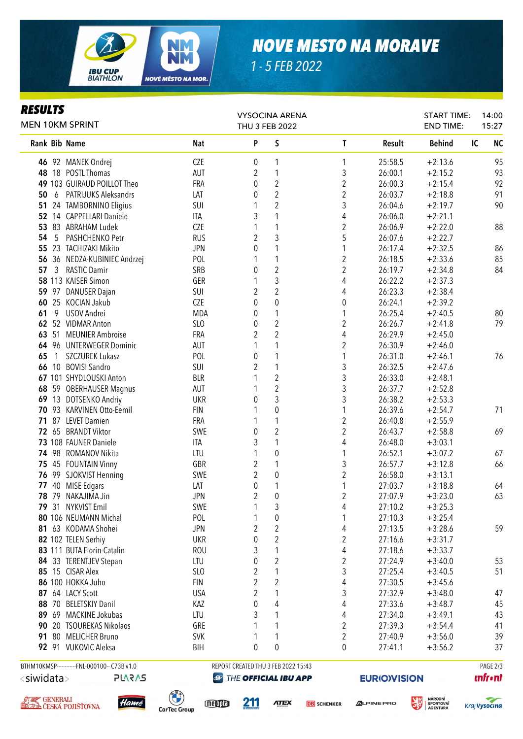

## *NOVE MESTO NA MORAVE*

*1 - 5 FEB 2022*

### *RESULTS*

| rljvei j<br><b>MEN 10KM SPRINT</b> |                                                        |                                    | <b>VYSOCINA ARENA</b><br>THU 3 FEB 2022 |                                     |                         |                   | <b>START TIME:</b><br><b>END TIME:</b>                | 14:00<br>15:27             |  |
|------------------------------------|--------------------------------------------------------|------------------------------------|-----------------------------------------|-------------------------------------|-------------------------|-------------------|-------------------------------------------------------|----------------------------|--|
| Rank Bib Name                      |                                                        | <b>Nat</b>                         | P                                       | S                                   | T                       | <b>Result</b>     | <b>Behind</b>                                         | <b>NC</b><br>IC            |  |
|                                    | 46 92 MANEK Ondrej                                     | <b>CZE</b>                         | 0                                       | 1                                   | 1                       | 25:58.5           | $+2:13.6$                                             | 95                         |  |
|                                    | 48 18 POSTL Thomas                                     | AUT                                | $\overline{c}$                          | 1                                   | 3                       | 26:00.1           | $+2:15.2$                                             | 93                         |  |
|                                    | 49 103 GUIRAUD POILLOT Theo                            | FRA                                | 0                                       | $\sqrt{2}$                          | 2                       | 26:00.3           | $+2:15.4$                                             | 92                         |  |
| 50                                 | 6 PATRIJUKS Aleksandrs                                 | LAT                                | 0                                       | $\sqrt{2}$                          | 2                       | 26:03.7           | $+2:18.8$                                             | 91                         |  |
|                                    | 51 24 TAMBORNINO Eligius                               | SUI                                | 1                                       | $\sqrt{2}$                          | 3                       | 26:04.6           | $+2:19.7$                                             | 90                         |  |
|                                    | 52 14 CAPPELLARI Daniele                               | ITA                                | 3                                       | $\mathbf{1}$                        | 4                       | 26:06.0           | $+2:21.1$                                             |                            |  |
|                                    | 53 83 ABRAHAM Ludek                                    | CZE                                | 1                                       | 1                                   | $\overline{\mathbf{c}}$ | 26:06.9           | $+2:22.0$                                             | 88                         |  |
| 54                                 | 5 PASHCHENKO Petr                                      | <b>RUS</b>                         | $\overline{2}$                          | $\mathfrak{Z}$                      | 5                       | 26:07.6           | $+2:22.7$                                             |                            |  |
| 55                                 | 23 TACHIZAKI Mikito                                    | <b>JPN</b>                         | 0                                       | 1                                   | 1                       | 26:17.4           | $+2:32.5$                                             | 86                         |  |
|                                    | 56 36 NEDZA-KUBINIEC Andrzej                           | POL                                | 1                                       | $\mathbf{1}$                        | $\overline{c}$          | 26:18.5           | $+2:33.6$                                             | 85                         |  |
| 57<br>3                            | <b>RASTIC Damir</b>                                    | SRB                                | 0                                       | $\overline{2}$                      | $\overline{c}$          | 26:19.7           | $+2:34.8$                                             | 84                         |  |
|                                    | 58 113 KAISER Simon                                    | GER                                | 1                                       | 3                                   | 4                       | 26:22.2           | $+2:37.3$                                             |                            |  |
|                                    | 59 97 DANUSER Dajan                                    | SUI                                | $\overline{2}$                          | $\overline{2}$                      | 4                       | 26:23.3           | $+2:38.4$                                             |                            |  |
|                                    | 60 25 KOCIAN Jakub                                     | CZE                                | $\mathbf{0}$                            | $\mathbf 0$                         | 0                       | 26:24.1           | $+2:39.2$                                             |                            |  |
| 61<br>9                            | USOV Andrei                                            | <b>MDA</b>                         | 0                                       | $\mathbf{1}$                        | 1                       | 26:25.4           | $+2:40.5$                                             | 80                         |  |
|                                    | 62 52 VIDMAR Anton                                     | SLO                                | 0                                       | $\sqrt{2}$                          | $\overline{2}$          | 26:26.7           | $+2:41.8$                                             | 79                         |  |
|                                    | 63 51 MEUNIER Ambroise                                 | FRA                                | 2                                       | $\overline{2}$                      | 4                       | 26:29.9           | $+2:45.0$                                             |                            |  |
|                                    | 64 96 UNTERWEGER Dominic                               | AUT                                | 1                                       | 1                                   | 2                       | 26:30.9           | $+2:46.0$                                             |                            |  |
| 65<br>1                            | SZCZUREK Lukasz                                        | POL                                | 0                                       | 1                                   | 1                       | 26:31.0           | $+2:46.1$                                             | 76                         |  |
|                                    | 66 10 BOVISI Sandro                                    | SUI                                | 2                                       | 1                                   | 3                       | 26:32.5           | $+2:47.6$                                             |                            |  |
|                                    | 67 101 SHYDLOUSKI Anton                                | <b>BLR</b>                         |                                         | $\sqrt{2}$                          | $\sqrt{3}$              | 26:33.0           | $+2:48.1$                                             |                            |  |
|                                    | 68 59 OBERHAUSER Magnus                                | AUT                                | 1                                       | $\sqrt{2}$                          | 3                       | 26:37.7           | $+2:52.8$                                             |                            |  |
|                                    | 69 13 DOTSENKO Andriy                                  | <b>UKR</b>                         | 0                                       | 3                                   | 3                       | 26:38.2           | $+2:53.3$                                             |                            |  |
|                                    | 70 93 KARVINEN Otto-Eemil                              | <b>FIN</b>                         | 1                                       | $\boldsymbol{0}$                    | 1                       | 26:39.6           | $+2:54.7$                                             | 71                         |  |
|                                    | 71 87 LEVET Damien                                     | FRA                                | 1                                       | 1                                   | 2                       | 26:40.8           | $+2:55.9$                                             |                            |  |
|                                    | 72 65 BRANDT Viktor                                    | SWE                                | $\pmb{0}$                               | $\sqrt{2}$                          | $\overline{2}$          | 26:43.7           | $+2:58.8$                                             | 69                         |  |
|                                    | 73 108 FAUNER Daniele                                  | <b>ITA</b>                         | 3                                       | 1                                   | 4                       | 26:48.0           | $+3:03.1$                                             |                            |  |
|                                    | 74 98 ROMANOV Nikita                                   | LTU                                | 1                                       | $\pmb{0}$                           | 1                       | 26:52.1           | $+3:07.2$                                             | 67                         |  |
|                                    | 75 45 FOUNTAIN Vinny                                   | GBR                                | $\overline{2}$                          | $\mathbf{1}$                        | 3                       | 26:57.7           | $+3:12.8$                                             | 66                         |  |
|                                    | 76 99 SJOKVIST Henning                                 | SWE                                | $\overline{2}$                          | $\pmb{0}$                           | $\overline{2}$          | 26:58.0           | $+3:13.1$                                             |                            |  |
|                                    | 77 40 MISE Edgars                                      | LAT                                | 0                                       | 1                                   | 1                       | 27:03.7           | $+3:18.8$                                             | 64                         |  |
|                                    | 78 79 NAKAJIMA Jin                                     | <b>JPN</b>                         | $\overline{2}$                          | $\boldsymbol{0}$                    | $\overline{\mathbf{c}}$ | 27:07.9           | $+3:23.0$                                             | 63                         |  |
|                                    | 79 31 NYKVIST Emil                                     | SWE                                | $\overline{ }$                          | 3                                   | 4                       | 27:10.2           | $+3:25.3$                                             |                            |  |
|                                    | 80 106 NEUMANN Michal                                  | POL                                | 1                                       | 0                                   | 1                       | 27:10.3           | $+3:25.4$                                             |                            |  |
|                                    | 81 63 KODAMA Shohei                                    | <b>JPN</b>                         | $\overline{2}$                          | $\overline{2}$                      | 4                       | 27:13.5           | $+3:28.6$                                             | 59                         |  |
|                                    | 82 102 TELEN Serhiy                                    | <b>UKR</b>                         | 0                                       | $\overline{2}$                      | 2                       | 27:16.6           | $+3:31.7$                                             |                            |  |
|                                    | 83 111 BUTA Florin-Catalin                             | <b>ROU</b>                         | 3                                       | 1                                   | 4                       | 27:18.6           | $+3:33.7$                                             |                            |  |
|                                    | 84 33 TERENTJEV Stepan                                 | LTU                                | 0                                       | $\overline{c}$                      | 2                       | 27:24.9           | $+3:40.0$                                             | 53                         |  |
|                                    | 85 15 CISAR Alex                                       | SL <sub>0</sub>                    | 2                                       | 1                                   | 3                       | 27:25.4           | $+3:40.5$                                             | 51                         |  |
|                                    | 86 100 HOKKA Juho                                      | <b>FIN</b>                         | $\overline{2}$                          | $\overline{2}$                      | 4                       | 27:30.5           | $+3:45.6$                                             |                            |  |
|                                    | 87 64 LACY Scott                                       | <b>USA</b>                         | 2                                       | 1                                   | 3                       | 27:32.9           | $+3:48.0$                                             | 47                         |  |
| 88                                 | 70 BELETSKIY Danil                                     | KAZ                                | 0                                       | 4                                   | 4                       | 27:33.6           | $+3:48.7$                                             | 45                         |  |
|                                    | 89 69 MACKINE Jokubas                                  | LTU                                | 3                                       | 1                                   | 4                       | 27:34.0           | $+3:49.1$                                             | 43                         |  |
| 90                                 | 20 TSOUREKAS Nikolaos                                  | GRE                                | 1                                       | 1                                   | $\overline{c}$          | 27:39.3           | $+3:54.4$                                             | 41                         |  |
| 91                                 | 80 MELICHER Bruno                                      | <b>SVK</b>                         | 1                                       | 1                                   | 2                       | 27:40.9           | $+3:56.0$                                             | 39                         |  |
|                                    | 92 91 VUKOVIC Aleksa                                   | <b>BIH</b>                         | $\mathbf{0}$                            | $\theta$                            | 0                       | 27:41.1           | $+3:56.2$                                             | 37                         |  |
|                                    | BTHM10KMSP------------FNL-000100-- C73B v1.0           |                                    |                                         | REPORT CREATED THU 3 FEB 2022 15:43 |                         |                   |                                                       | PAGE 2/3<br><b>unfr•nt</b> |  |
| <siwidata></siwidata>              | <b>PLARAS</b>                                          | Ø                                  | THE OFFICIAL IBU APP                    |                                     |                         |                   | <b>EURIOVISION</b>                                    |                            |  |
|                                    | <b>Ø Z GENERALI<br/>GLODA</b> ČESKÁ POJIŠŤOVNA<br>Hamé | J<br>meopla<br><b>CarTec Group</b> | <u> 211</u>                             | <b>ATEX</b>                         | <b>DB</b> SCHENKER      | <b>ALPINE PRO</b> | <b>NÁRODNÍ</b><br><b>SPORTOVNÍ</b><br><b>AGENTURA</b> | Kraj <b>Vysocina</b>       |  |